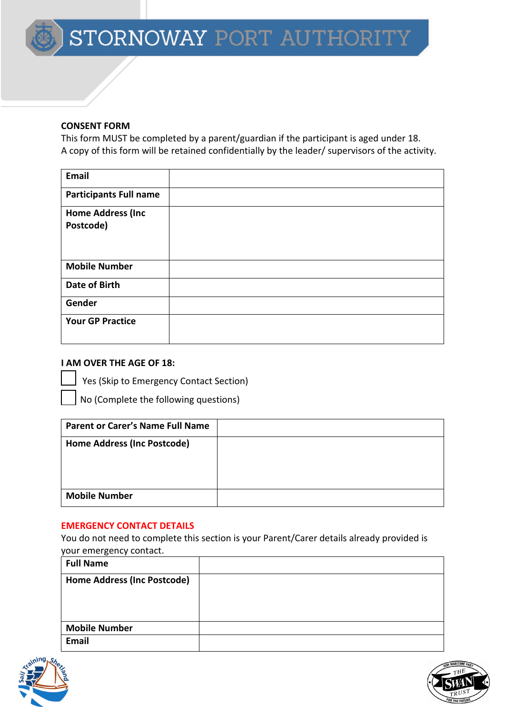#### **CONSENT FORM**

This form MUST be completed by a parent/guardian if the participant is aged under 18. A copy of this form will be retained confidentially by the leader/ supervisors of the activity.

| <b>Email</b>                           |  |
|----------------------------------------|--|
| <b>Participants Full name</b>          |  |
| <b>Home Address (Inc.</b><br>Postcode) |  |
| <b>Mobile Number</b>                   |  |
| <b>Date of Birth</b>                   |  |
| Gender                                 |  |
| <b>Your GP Practice</b>                |  |

## **I AM OVER THE AGE OF 18:**

Yes (Skip to Emergency Contact Section)

No (Complete the following questions)

| <b>Parent or Carer's Name Full Name</b> |  |
|-----------------------------------------|--|
| Home Address (Inc Postcode)             |  |
|                                         |  |
|                                         |  |
| <b>Mobile Number</b>                    |  |

#### **EMERGENCY CONTACT DETAILS**

You do not need to complete this section is your Parent/Carer details already provided is your emergency contact.

| <b>Full Name</b>                   |  |
|------------------------------------|--|
| <b>Home Address (Inc Postcode)</b> |  |
|                                    |  |
|                                    |  |
| <b>Mobile Number</b>               |  |
| <b>Email</b>                       |  |



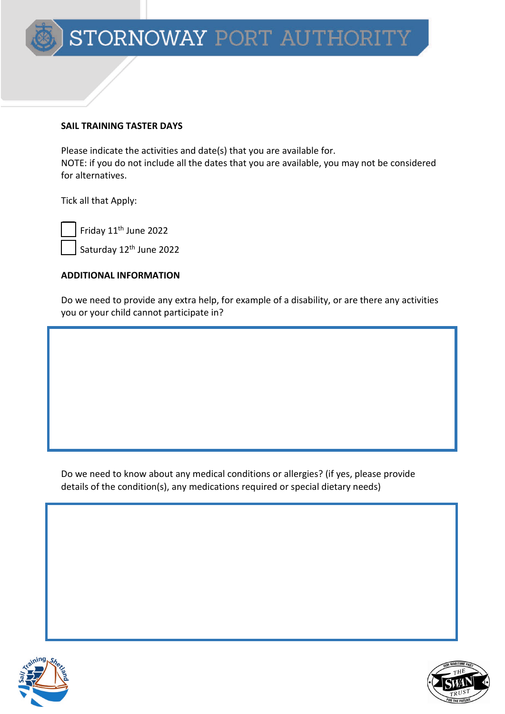#### **SAIL TRAINING TASTER DAYS**

Please indicate the activities and date(s) that you are available for. NOTE: if you do not include all the dates that you are available, you may not be considered for alternatives.

Tick all that Apply:

Friday 11th June 2022

Saturday 12<sup>th</sup> June 2022

#### **ADDITIONAL INFORMATION**

Do we need to provide any extra help, for example of a disability, or are there any activities you or your child cannot participate in?

Do we need to know about any medical conditions or allergies? (if yes, please provide details of the condition(s), any medications required or special dietary needs)



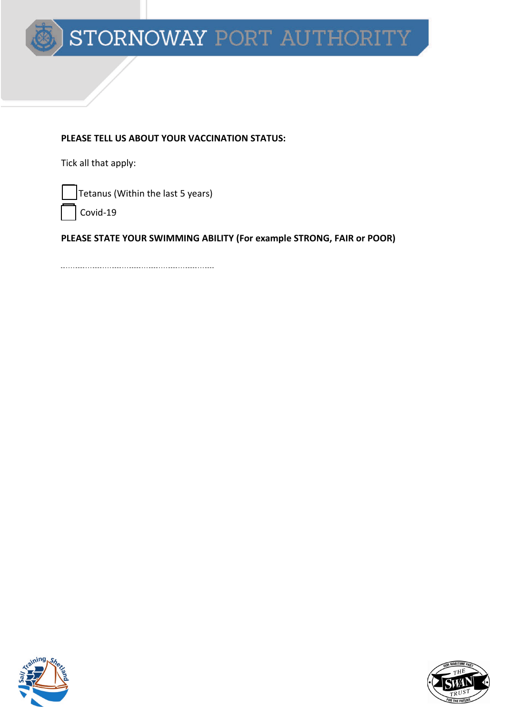

#### **PLEASE TELL US ABOUT YOUR VACCINATION STATUS:**

Tick all that apply:

Tetanus (Within the last 5 years)

Covid-19

**PLEASE STATE YOUR SWIMMING ABILITY (For example STRONG, FAIR or POOR)**



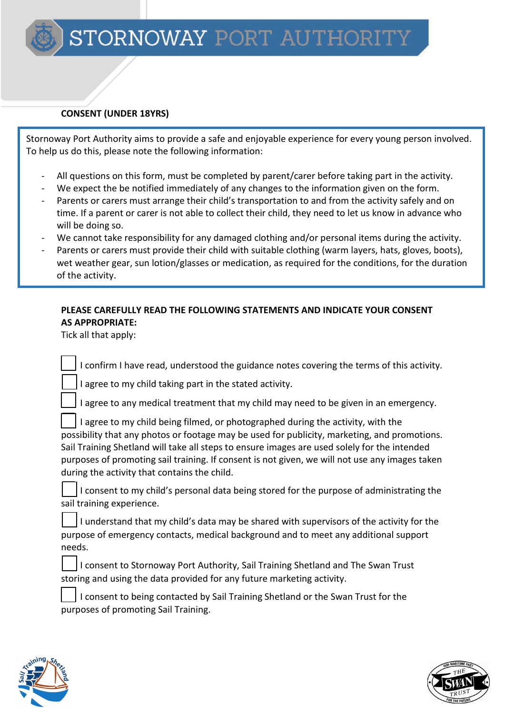## **CONSENT (UNDER 18YRS)**

Stornoway Port Authority aims to provide a safe and enjoyable experience for every young person involved. To help us do this, please note the following information:

- All questions on this form, must be completed by parent/carer before taking part in the activity.
- We expect the be notified immediately of any changes to the information given on the form.
- Parents or carers must arrange their child's transportation to and from the activity safely and on time. If a parent or carer is not able to collect their child, they need to let us know in advance who will be doing so.
- We cannot take responsibility for any damaged clothing and/or personal items during the activity.
- Parents or carers must provide their child with suitable clothing (warm layers, hats, gloves, boots), wet weather gear, sun lotion/glasses or medication, as required for the conditions, for the duration of the activity.

# **PLEASE CAREFULLY READ THE FOLLOWING STATEMENTS AND INDICATE YOUR CONSENT AS APPROPRIATE:**

Tick all that apply:

j

I confirm I have read, understood the guidance notes covering the terms of this activity.

I agree to my child taking part in the stated activity.

I agree to any medical treatment that my child may need to be given in an emergency.

 I agree to my child being filmed, or photographed during the activity, with the possibility that any photos or footage may be used for publicity, marketing, and promotions. Sail Training Shetland will take all steps to ensure images are used solely for the intended purposes of promoting sail training. If consent is not given, we will not use any images taken during the activity that contains the child.

 I consent to my child's personal data being stored for the purpose of administrating the sail training experience.

 I understand that my child's data may be shared with supervisors of the activity for the purpose of emergency contacts, medical background and to meet any additional support needs.

 I consent to Stornoway Port Authority, Sail Training Shetland and The Swan Trust storing and using the data provided for any future marketing activity.

 I consent to being contacted by Sail Training Shetland or the Swan Trust for the purposes of promoting Sail Training.